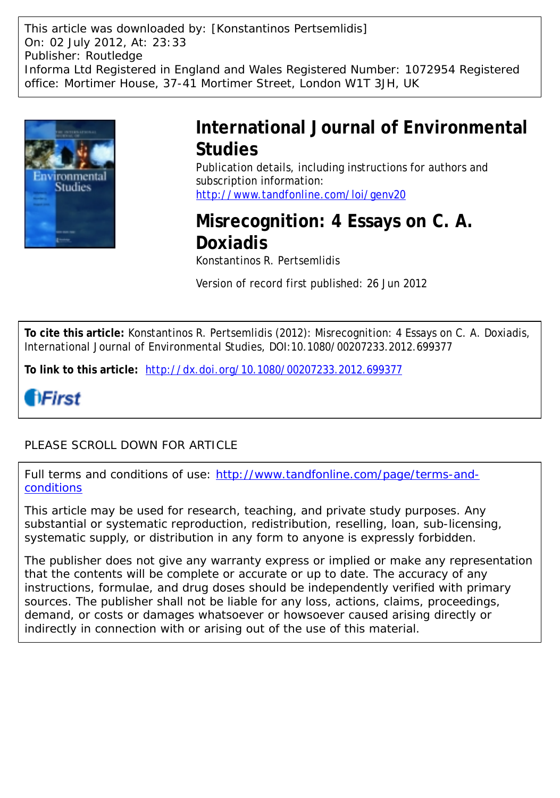This article was downloaded by: [Konstantinos Pertsemlidis] On: 02 July 2012, At: 23:33 Publisher: Routledge Informa Ltd Registered in England and Wales Registered Number: 1072954 Registered office: Mortimer House, 37-41 Mortimer Street, London W1T 3JH, UK



## **International Journal of Environmental Studies**

Publication details, including instructions for authors and subscription information: <http://www.tandfonline.com/loi/genv20>

# **Misrecognition: 4 Essays on C. A. Doxiadis**

Konstantinos R. Pertsemlidis

Version of record first published: 26 Jun 2012

**To cite this article:** Konstantinos R. Pertsemlidis (2012): Misrecognition: 4 Essays on C. A. Doxiadis, International Journal of Environmental Studies, DOI:10.1080/00207233.2012.699377

**To link to this article:** <http://dx.doi.org/10.1080/00207233.2012.699377>

**fiFirst** 

### PLEASE SCROLL DOWN FOR ARTICLE

Full terms and conditions of use: [http://www.tandfonline.com/page/terms-and](http://www.tandfonline.com/page/terms-and-conditions)[conditions](http://www.tandfonline.com/page/terms-and-conditions)

This article may be used for research, teaching, and private study purposes. Any substantial or systematic reproduction, redistribution, reselling, loan, sub-licensing, systematic supply, or distribution in any form to anyone is expressly forbidden.

The publisher does not give any warranty express or implied or make any representation that the contents will be complete or accurate or up to date. The accuracy of any instructions, formulae, and drug doses should be independently verified with primary sources. The publisher shall not be liable for any loss, actions, claims, proceedings, demand, or costs or damages whatsoever or howsoever caused arising directly or indirectly in connection with or arising out of the use of this material.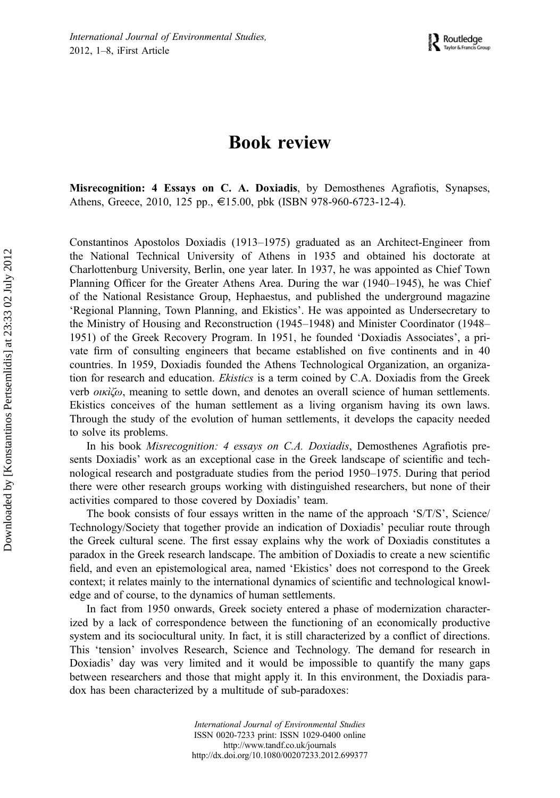Misrecognition: 4 Essays on C. A. Doxiadis, by Demosthenes Agrafiotis, Synapses, Athens, Greece, 2010, 125 pp., €15.00, pbk (ISBN 978-960-6723-12-4).

Constantinos Apostolos Doxiadis (1913–1975) graduated as an Architect-Engineer from the National Technical University of Athens in 1935 and obtained his doctorate at Charlottenburg University, Berlin, one year later. In 1937, he was appointed as Chief Town Planning Officer for the Greater Athens Area. During the war (1940–1945), he was Chief of the National Resistance Group, Hephaestus, and published the underground magazine 'Regional Planning, Town Planning, and Ekistics'. He was appointed as Undersecretary to the Ministry of Housing and Reconstruction (1945–1948) and Minister Coordinator (1948– 1951) of the Greek Recovery Program. In 1951, he founded 'Doxiadis Associates', a private firm of consulting engineers that became established on five continents and in 40 countries. In 1959, Doxiadis founded the Athens Technological Organization, an organization for research and education. *Ekistics* is a term coined by C.A. Doxiadis from the Greek verb oικìζω, meaning to settle down, and denotes an overall science of human settlements. Ekistics conceives of the human settlement as a living organism having its own laws. Through the study of the evolution of human settlements, it develops the capacity needed to solve its problems.

In his book *Misrecognition: 4 essays on C.A. Doxiadis*, Demosthenes Agrafiotis presents Doxiadis' work as an exceptional case in the Greek landscape of scientific and technological research and postgraduate studies from the period 1950–1975. During that period there were other research groups working with distinguished researchers, but none of their activities compared to those covered by Doxiadis' team.

The book consists of four essays written in the name of the approach 'S/T/S', Science/ Technology/Society that together provide an indication of Doxiadis' peculiar route through the Greek cultural scene. The first essay explains why the work of Doxiadis constitutes a paradox in the Greek research landscape. The ambition of Doxiadis to create a new scientific field, and even an epistemological area, named 'Ekistics' does not correspond to the Greek context; it relates mainly to the international dynamics of scientific and technological knowledge and of course, to the dynamics of human settlements.

In fact from 1950 onwards, Greek society entered a phase of modernization characterized by a lack of correspondence between the functioning of an economically productive system and its sociocultural unity. In fact, it is still characterized by a conflict of directions. This 'tension' involves Research, Science and Technology. The demand for research in Doxiadis' day was very limited and it would be impossible to quantify the many gaps between researchers and those that might apply it. In this environment, the Doxiadis paradox has been characterized by a multitude of sub-paradoxes:

> International Journal of Environmental Studies ISSN 0020-7233 print: ISSN 1029-0400 online http://www.tandf.co.uk/journals http://dx.doi.org/10.1080/00207233.2012.699377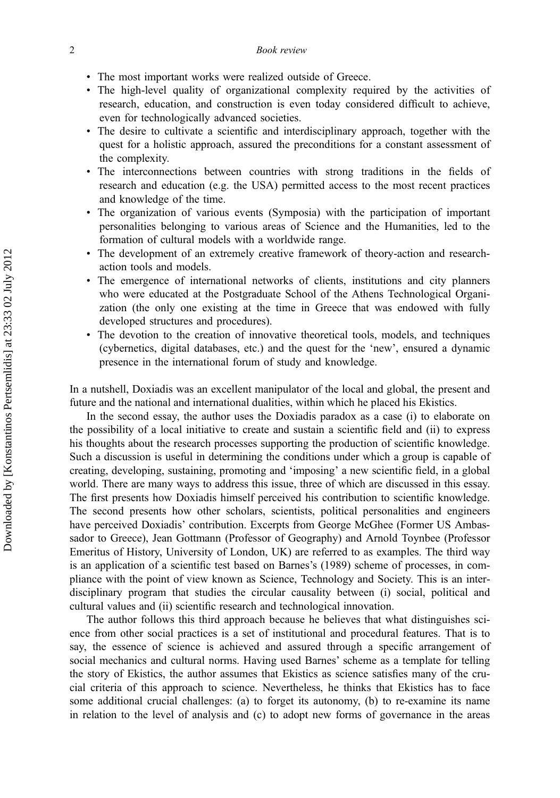- The most important works were realized outside of Greece.
- The high-level quality of organizational complexity required by the activities of research, education, and construction is even today considered difficult to achieve, even for technologically advanced societies.
- The desire to cultivate a scientific and interdisciplinary approach, together with the quest for a holistic approach, assured the preconditions for a constant assessment of the complexity.
- The interconnections between countries with strong traditions in the fields of research and education (e.g. the USA) permitted access to the most recent practices and knowledge of the time.
- The organization of various events (Symposia) with the participation of important personalities belonging to various areas of Science and the Humanities, led to the formation of cultural models with a worldwide range.
- The development of an extremely creative framework of theory-action and researchaction tools and models.
- The emergence of international networks of clients, institutions and city planners who were educated at the Postgraduate School of the Athens Technological Organization (the only one existing at the time in Greece that was endowed with fully developed structures and procedures).
- The devotion to the creation of innovative theoretical tools, models, and techniques (cybernetics, digital databases, etc.) and the quest for the 'new', ensured a dynamic presence in the international forum of study and knowledge.

In a nutshell, Doxiadis was an excellent manipulator of the local and global, the present and future and the national and international dualities, within which he placed his Ekistics.

In the second essay, the author uses the Doxiadis paradox as a case (i) to elaborate on the possibility of a local initiative to create and sustain a scientific field and (ii) to express his thoughts about the research processes supporting the production of scientific knowledge. Such a discussion is useful in determining the conditions under which a group is capable of creating, developing, sustaining, promoting and 'imposing' a new scientific field, in a global world. There are many ways to address this issue, three of which are discussed in this essay. The first presents how Doxiadis himself perceived his contribution to scientific knowledge. The second presents how other scholars, scientists, political personalities and engineers have perceived Doxiadis' contribution. Excerpts from George McGhee (Former US Ambassador to Greece), Jean Gottmann (Professor of Geography) and Arnold Toynbee (Professor Emeritus of History, University of London, UK) are referred to as examples. The third way is an application of a scientific test based on Barnes's (1989) scheme of processes, in compliance with the point of view known as Science, Technology and Society. This is an interdisciplinary program that studies the circular causality between (i) social, political and cultural values and (ii) scientific research and technological innovation.

The author follows this third approach because he believes that what distinguishes science from other social practices is a set of institutional and procedural features. That is to say, the essence of science is achieved and assured through a specific arrangement of social mechanics and cultural norms. Having used Barnes' scheme as a template for telling the story of Ekistics, the author assumes that Ekistics as science satisfies many of the crucial criteria of this approach to science. Nevertheless, he thinks that Ekistics has to face some additional crucial challenges: (a) to forget its autonomy, (b) to re-examine its name in relation to the level of analysis and (c) to adopt new forms of governance in the areas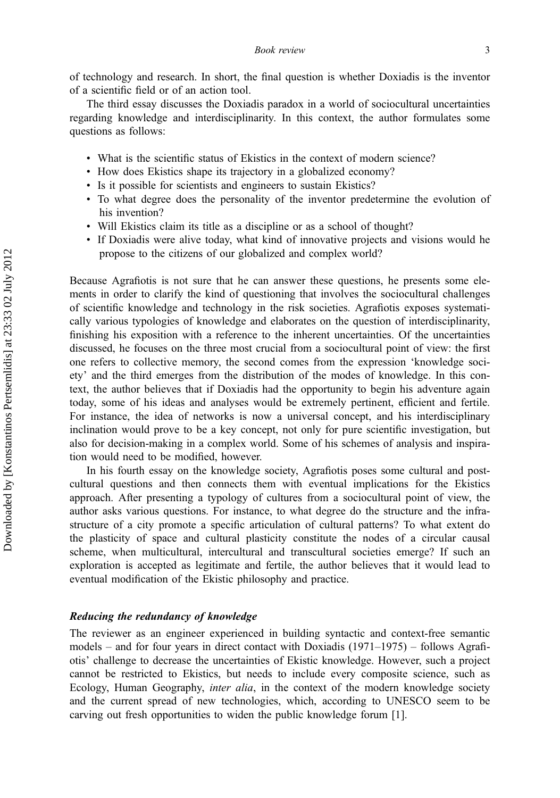of technology and research. In short, the final question is whether Doxiadis is the inventor of a scientific field or of an action tool.

The third essay discusses the Doxiadis paradox in a world of sociocultural uncertainties regarding knowledge and interdisciplinarity. In this context, the author formulates some questions as follows:

- What is the scientific status of Ekistics in the context of modern science?
- How does Ekistics shape its trajectory in a globalized economy?
- Is it possible for scientists and engineers to sustain Ekistics?
- To what degree does the personality of the inventor predetermine the evolution of his invention?
- Will Ekistics claim its title as a discipline or as a school of thought?
- If Doxiadis were alive today, what kind of innovative projects and visions would he propose to the citizens of our globalized and complex world?

Because Agrafiotis is not sure that he can answer these questions, he presents some elements in order to clarify the kind of questioning that involves the sociocultural challenges of scientific knowledge and technology in the risk societies. Agrafiotis exposes systematically various typologies of knowledge and elaborates on the question of interdisciplinarity, finishing his exposition with a reference to the inherent uncertainties. Of the uncertainties discussed, he focuses on the three most crucial from a sociocultural point of view: the first one refers to collective memory, the second comes from the expression 'knowledge society' and the third emerges from the distribution of the modes of knowledge. In this context, the author believes that if Doxiadis had the opportunity to begin his adventure again today, some of his ideas and analyses would be extremely pertinent, efficient and fertile. For instance, the idea of networks is now a universal concept, and his interdisciplinary inclination would prove to be a key concept, not only for pure scientific investigation, but also for decision-making in a complex world. Some of his schemes of analysis and inspiration would need to be modified, however.

In his fourth essay on the knowledge society, Agrafiotis poses some cultural and postcultural questions and then connects them with eventual implications for the Ekistics approach. After presenting a typology of cultures from a sociocultural point of view, the author asks various questions. For instance, to what degree do the structure and the infrastructure of a city promote a specific articulation of cultural patterns? To what extent do the plasticity of space and cultural plasticity constitute the nodes of a circular causal scheme, when multicultural, intercultural and transcultural societies emerge? If such an exploration is accepted as legitimate and fertile, the author believes that it would lead to eventual modification of the Ekistic philosophy and practice.

#### Reducing the redundancy of knowledge

The reviewer as an engineer experienced in building syntactic and context-free semantic models – and for four years in direct contact with Doxiadis (1971–1975) – follows Agrafiotis' challenge to decrease the uncertainties of Ekistic knowledge. However, such a project cannot be restricted to Ekistics, but needs to include every composite science, such as Ecology, Human Geography, *inter alia*, in the context of the modern knowledge society and the current spread of new technologies, which, according to UNESCO seem to be carving out fresh opportunities to widen the public knowledge forum [1].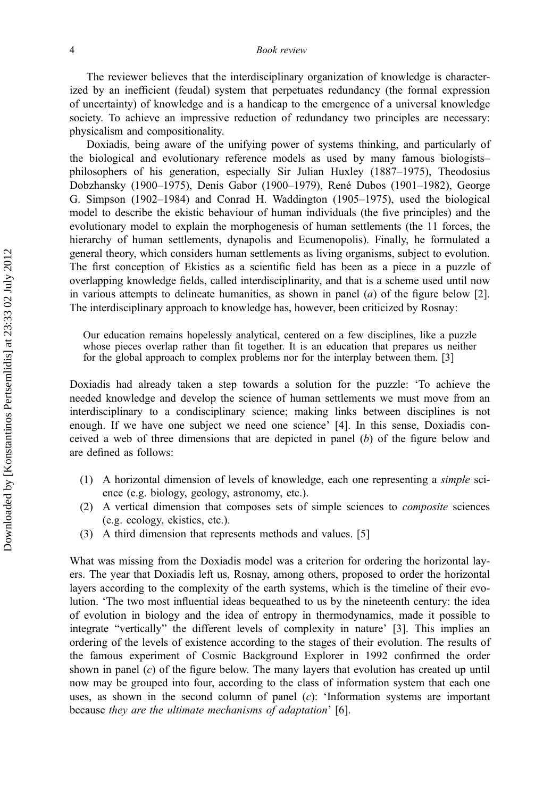The reviewer believes that the interdisciplinary organization of knowledge is characterized by an inefficient (feudal) system that perpetuates redundancy (the formal expression of uncertainty) of knowledge and is a handicap to the emergence of a universal knowledge society. To achieve an impressive reduction of redundancy two principles are necessary: physicalism and compositionality.

Doxiadis, being aware of the unifying power of systems thinking, and particularly of the biological and evolutionary reference models as used by many famous biologists– philosophers of his generation, especially Sir Julian Huxley (1887–1975), Theodosius Dobzhansky (1900–1975), Denis Gabor (1900–1979), René Dubos (1901–1982), George G. Simpson (1902–1984) and Conrad H. Waddington (1905–1975), used the biological model to describe the ekistic behaviour of human individuals (the five principles) and the evolutionary model to explain the morphogenesis of human settlements (the 11 forces, the hierarchy of human settlements, dynapolis and Ecumenopolis). Finally, he formulated a general theory, which considers human settlements as living organisms, subject to evolution. The first conception of Ekistics as a scientific field has been as a piece in a puzzle of overlapping knowledge fields, called interdisciplinarity, and that is a scheme used until now in various attempts to delineate humanities, as shown in panel  $(a)$  of the figure below [2]. The interdisciplinary approach to knowledge has, however, been criticized by Rosnay:

Our education remains hopelessly analytical, centered on a few disciplines, like a puzzle whose pieces overlap rather than fit together. It is an education that prepares us neither for the global approach to complex problems nor for the interplay between them. [3]

Doxiadis had already taken a step towards a solution for the puzzle: 'To achieve the needed knowledge and develop the science of human settlements we must move from an interdisciplinary to a condisciplinary science; making links between disciplines is not enough. If we have one subject we need one science' [4]. In this sense, Doxiadis conceived a web of three dimensions that are depicted in panel (b) of the figure below and are defined as follows:

- (1) A horizontal dimension of levels of knowledge, each one representing a simple science (e.g. biology, geology, astronomy, etc.).
- (2) A vertical dimension that composes sets of simple sciences to composite sciences (e.g. ecology, ekistics, etc.).
- (3) A third dimension that represents methods and values. [5]

What was missing from the Doxiadis model was a criterion for ordering the horizontal layers. The year that Doxiadis left us, Rosnay, among others, proposed to order the horizontal layers according to the complexity of the earth systems, which is the timeline of their evolution. 'The two most influential ideas bequeathed to us by the nineteenth century: the idea of evolution in biology and the idea of entropy in thermodynamics, made it possible to integrate "vertically" the different levels of complexity in nature' [3]. This implies an ordering of the levels of existence according to the stages of their evolution. The results of the famous experiment of Cosmic Background Explorer in 1992 confirmed the order shown in panel  $(c)$  of the figure below. The many layers that evolution has created up until now may be grouped into four, according to the class of information system that each one uses, as shown in the second column of panel (c): 'Information systems are important because they are the ultimate mechanisms of adaptation' [6].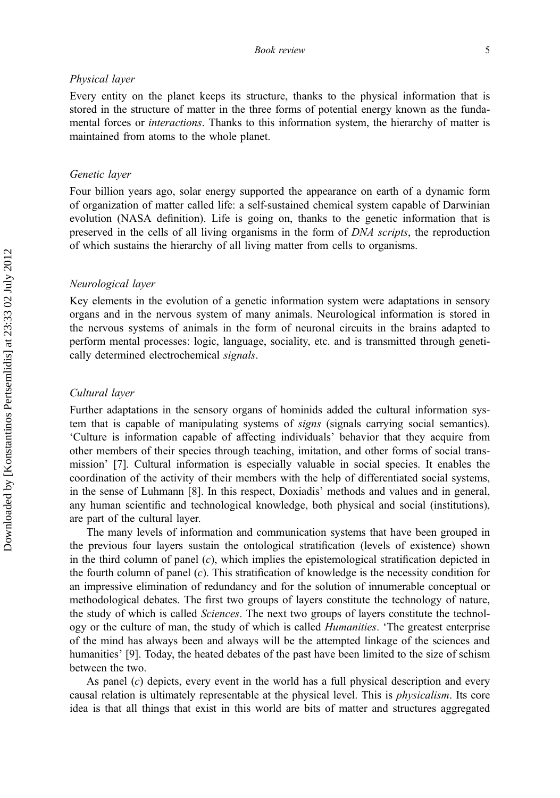#### Physical layer

Every entity on the planet keeps its structure, thanks to the physical information that is stored in the structure of matter in the three forms of potential energy known as the fundamental forces or *interactions*. Thanks to this information system, the hierarchy of matter is maintained from atoms to the whole planet.

#### Genetic layer

Four billion years ago, solar energy supported the appearance on earth of a dynamic form of organization of matter called life: a self-sustained chemical system capable of Darwinian evolution (NASA definition). Life is going on, thanks to the genetic information that is preserved in the cells of all living organisms in the form of DNA scripts, the reproduction of which sustains the hierarchy of all living matter from cells to organisms.

#### Neurological layer

Key elements in the evolution of a genetic information system were adaptations in sensory organs and in the nervous system of many animals. Neurological information is stored in the nervous systems of animals in the form of neuronal circuits in the brains adapted to perform mental processes: logic, language, sociality, etc. and is transmitted through genetically determined electrochemical signals.

#### Cultural layer

Further adaptations in the sensory organs of hominids added the cultural information system that is capable of manipulating systems of signs (signals carrying social semantics). 'Culture is information capable of affecting individuals' behavior that they acquire from other members of their species through teaching, imitation, and other forms of social transmission' [7]. Cultural information is especially valuable in social species. It enables the coordination of the activity of their members with the help of differentiated social systems, in the sense of Luhmann [8]. In this respect, Doxiadis' methods and values and in general, any human scientific and technological knowledge, both physical and social (institutions), are part of the cultural layer.

The many levels of information and communication systems that have been grouped in the previous four layers sustain the ontological stratification (levels of existence) shown in the third column of panel  $(c)$ , which implies the epistemological stratification depicted in the fourth column of panel  $(c)$ . This stratification of knowledge is the necessity condition for an impressive elimination of redundancy and for the solution of innumerable conceptual or methodological debates. The first two groups of layers constitute the technology of nature, the study of which is called Sciences. The next two groups of layers constitute the technology or the culture of man, the study of which is called *Humanities*. 'The greatest enterprise of the mind has always been and always will be the attempted linkage of the sciences and humanities' [9]. Today, the heated debates of the past have been limited to the size of schism between the two.

As panel (c) depicts, every event in the world has a full physical description and every causal relation is ultimately representable at the physical level. This is physicalism. Its core idea is that all things that exist in this world are bits of matter and structures aggregated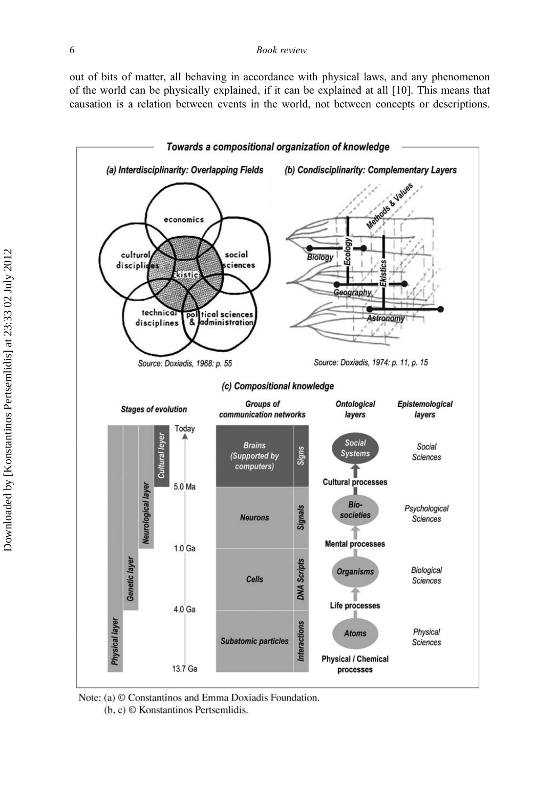out of bits of matter, all behaving in accordance with physical laws, and any phenomenon of the world can be physically explained, if it can be explained at all [10]. This means that causation is a relation between events in the world, not between concepts or descriptions.



Note: (a) © Constantinos and Emma Doxiadis Foundation. (b, c) © Konstantinos Pertsemlidis.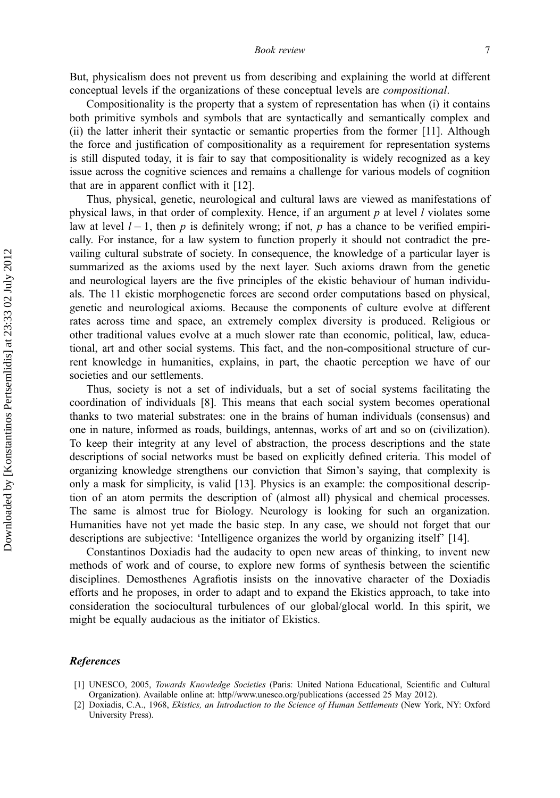But, physicalism does not prevent us from describing and explaining the world at different conceptual levels if the organizations of these conceptual levels are compositional.

Compositionality is the property that a system of representation has when (i) it contains both primitive symbols and symbols that are syntactically and semantically complex and (ii) the latter inherit their syntactic or semantic properties from the former [11]. Although the force and justification of compositionality as a requirement for representation systems is still disputed today, it is fair to say that compositionality is widely recognized as a key issue across the cognitive sciences and remains a challenge for various models of cognition that are in apparent conflict with it [12].

Thus, physical, genetic, neurological and cultural laws are viewed as manifestations of physical laws, in that order of complexity. Hence, if an argument  $p$  at level  $l$  violates some law at level  $l-1$ , then p is definitely wrong; if not, p has a chance to be verified empirically. For instance, for a law system to function properly it should not contradict the prevailing cultural substrate of society. In consequence, the knowledge of a particular layer is summarized as the axioms used by the next layer. Such axioms drawn from the genetic and neurological layers are the five principles of the ekistic behaviour of human individuals. The 11 ekistic morphogenetic forces are second order computations based on physical, genetic and neurological axioms. Because the components of culture evolve at different rates across time and space, an extremely complex diversity is produced. Religious or other traditional values evolve at a much slower rate than economic, political, law, educational, art and other social systems. This fact, and the non-compositional structure of current knowledge in humanities, explains, in part, the chaotic perception we have of our societies and our settlements.

Thus, society is not a set of individuals, but a set of social systems facilitating the coordination of individuals [8]. This means that each social system becomes operational thanks to two material substrates: one in the brains of human individuals (consensus) and one in nature, informed as roads, buildings, antennas, works of art and so on (civilization). To keep their integrity at any level of abstraction, the process descriptions and the state descriptions of social networks must be based on explicitly defined criteria. This model of organizing knowledge strengthens our conviction that Simon's saying, that complexity is only a mask for simplicity, is valid [13]. Physics is an example: the compositional description of an atom permits the description of (almost all) physical and chemical processes. The same is almost true for Biology. Neurology is looking for such an organization. Humanities have not yet made the basic step. In any case, we should not forget that our descriptions are subjective: 'Intelligence organizes the world by organizing itself' [14].

Constantinos Doxiadis had the audacity to open new areas of thinking, to invent new methods of work and of course, to explore new forms of synthesis between the scientific disciplines. Demosthenes Agrafiotis insists on the innovative character of the Doxiadis efforts and he proposes, in order to adapt and to expand the Ekistics approach, to take into consideration the sociocultural turbulences of our global/glocal world. In this spirit, we might be equally audacious as the initiator of Ekistics.

#### References

<sup>[1]</sup> UNESCO, 2005, Towards Knowledge Societies (Paris: United Nationa Educational, Scientific and Cultural Organization). Available online at: [http//www.unesco.org/publications](http://http//www.unesco.org/publications) (accessed 25 May 2012).

<sup>[2]</sup> Doxiadis, C.A., 1968, Ekistics, an Introduction to the Science of Human Settlements (New York, NY: Oxford University Press).